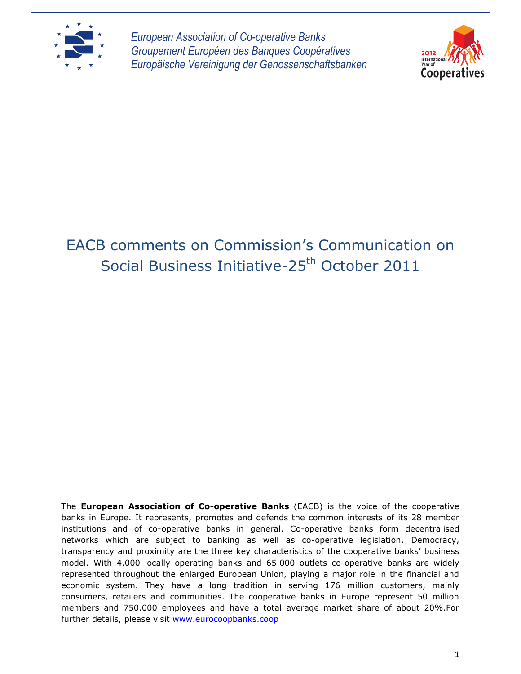

*European Association of Co-operative Banks Groupement Européen des Banques Coopératives Europäische Vereinigung der Genossenschaftsbanken*



## EACB comments on Commission's Communication on Social Business Initiative-25<sup>th</sup> October 2011

The **European Association of Co-operative Banks** (EACB) is the voice of the cooperative banks in Europe. It represents, promotes and defends the common interests of its 28 member institutions and of co-operative banks in general. Co-operative banks form decentralised networks which are subject to banking as well as co-operative legislation. Democracy, transparency and proximity are the three key characteristics of the cooperative banks' business model. With 4.000 locally operating banks and 65.000 outlets co-operative banks are widely represented throughout the enlarged European Union, playing a major role in the financial and economic system. They have a long tradition in serving 176 million customers, mainly consumers, retailers and communities. The cooperative banks in Europe represent 50 million members and 750.000 employees and have a total average market share of about 20%.For further details, please visit [www.eurocoopbanks.coop](http://www.eurocoopbanks.coop/)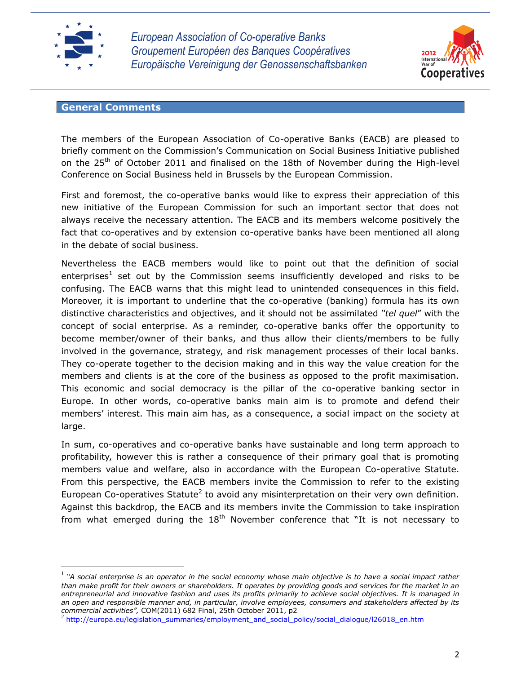

l

*European Association of Co-operative Banks Groupement Européen des Banques Coopératives Europäische Vereinigung der Genossenschaftsbanken*



## **General Comments**

The members of the European Association of Co-operative Banks (EACB) are pleased to briefly comment on the Commission's Communication on Social Business Initiative published on the  $25<sup>th</sup>$  of October 2011 and finalised on the 18th of November during the High-level Conference on Social Business held in Brussels by the European Commission.

First and foremost, the co-operative banks would like to express their appreciation of this new initiative of the European Commission for such an important sector that does not always receive the necessary attention. The EACB and its members welcome positively the fact that co-operatives and by extension co-operative banks have been mentioned all along in the debate of social business.

Nevertheless the EACB members would like to point out that the definition of social enterprises<sup>1</sup> set out by the Commission seems insufficiently developed and risks to be confusing. The EACB warns that this might lead to unintended consequences in this field. Moreover, it is important to underline that the co-operative (banking) formula has its own distinctive characteristics and objectives, and it should not be assimilated *"tel quel*" with the concept of social enterprise. As a reminder, co-operative banks offer the opportunity to become member/owner of their banks, and thus allow their clients/members to be fully involved in the governance, strategy, and risk management processes of their local banks. They co-operate together to the decision making and in this way the value creation for the members and clients is at the core of the business as opposed to the profit maximisation. This economic and social democracy is the pillar of the co-operative banking sector in Europe. In other words, co-operative banks main aim is to promote and defend their members' interest. This main aim has, as a consequence, a social impact on the society at large.

In sum, co-operatives and co-operative banks have sustainable and long term approach to profitability, however this is rather a consequence of their primary goal that is promoting members value and welfare, also in accordance with the European Co-operative Statute. From this perspective, the EACB members invite the Commission to refer to the existing European Co-operatives Statute<sup>2</sup> to avoid any misinterpretation on their very own definition. Against this backdrop, the EACB and its members invite the Commission to take inspiration from what emerged during the  $18<sup>th</sup>$  November conference that "It is not necessary to

<sup>1</sup> *"A social enterprise is an operator in the social economy whose main objective is to have a social impact rather than make profit for their owners or shareholders. It operates by providing goods and services for the market in an entrepreneurial and innovative fashion and uses its profits primarily to achieve social objectives. It is managed in an open and responsible manner and, in particular, involve employees, consumers and stakeholders affected by its commercial activities",* COM(2011) 682 Final, 25th October 2011, p2

<sup>&</sup>lt;sup>2</sup> [http://europa.eu/legislation\\_summaries/employment\\_and\\_social\\_policy/social\\_dialogue/l26018\\_en.htm](http://europa.eu/legislation_summaries/employment_and_social_policy/social_dialogue/l26018_en.htm)